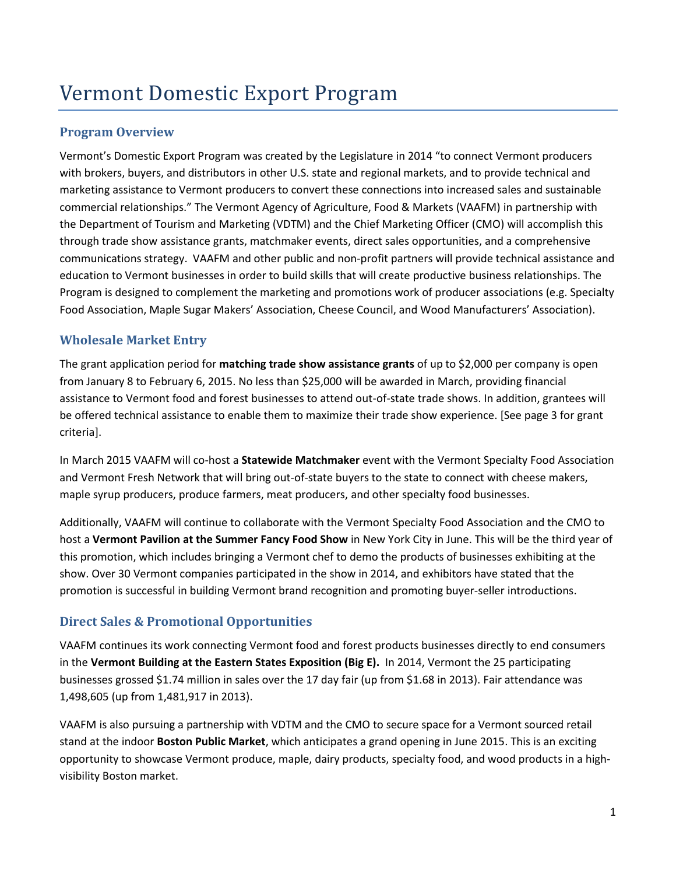# Vermont Domestic Export Program

## **Program Overview**

Vermont's Domestic Export Program was created by the Legislature in 2014 "to connect Vermont producers with brokers, buyers, and distributors in other U.S. state and regional markets, and to provide technical and marketing assistance to Vermont producers to convert these connections into increased sales and sustainable commercial relationships." The Vermont Agency of Agriculture, Food & Markets (VAAFM) in partnership with the Department of Tourism and Marketing (VDTM) and the Chief Marketing Officer (CMO) will accomplish this through trade show assistance grants, matchmaker events, direct sales opportunities, and a comprehensive communications strategy. VAAFM and other public and non-profit partners will provide technical assistance and education to Vermont businesses in order to build skills that will create productive business relationships. The Program is designed to complement the marketing and promotions work of producer associations (e.g. Specialty Food Association, Maple Sugar Makers' Association, Cheese Council, and Wood Manufacturers' Association).

# **Wholesale Market Entry**

The grant application period for **matching trade show assistance grants** of up to \$2,000 per company is open from January 8 to February 6, 2015. No less than \$25,000 will be awarded in March, providing financial assistance to Vermont food and forest businesses to attend out-of-state trade shows. In addition, grantees will be offered technical assistance to enable them to maximize their trade show experience. [See page 3 for grant criteria].

In March 2015 VAAFM will co-host a **Statewide Matchmaker** event with the Vermont Specialty Food Association and Vermont Fresh Network that will bring out-of-state buyers to the state to connect with cheese makers, maple syrup producers, produce farmers, meat producers, and other specialty food businesses.

Additionally, VAAFM will continue to collaborate with the Vermont Specialty Food Association and the CMO to host a **Vermont Pavilion at the Summer Fancy Food Show** in New York City in June. This will be the third year of this promotion, which includes bringing a Vermont chef to demo the products of businesses exhibiting at the show. Over 30 Vermont companies participated in the show in 2014, and exhibitors have stated that the promotion is successful in building Vermont brand recognition and promoting buyer-seller introductions.

# **Direct Sales & Promotional Opportunities**

VAAFM continues its work connecting Vermont food and forest products businesses directly to end consumers in the **Vermont Building at the Eastern States Exposition (Big E).** In 2014, Vermont the 25 participating businesses grossed \$1.74 million in sales over the 17 day fair (up from \$1.68 in 2013). Fair attendance was 1,498,605 (up from 1,481,917 in 2013).

VAAFM is also pursuing a partnership with VDTM and the CMO to secure space for a Vermont sourced retail stand at the indoor **Boston Public Market**, which anticipates a grand opening in June 2015. This is an exciting opportunity to showcase Vermont produce, maple, dairy products, specialty food, and wood products in a highvisibility Boston market.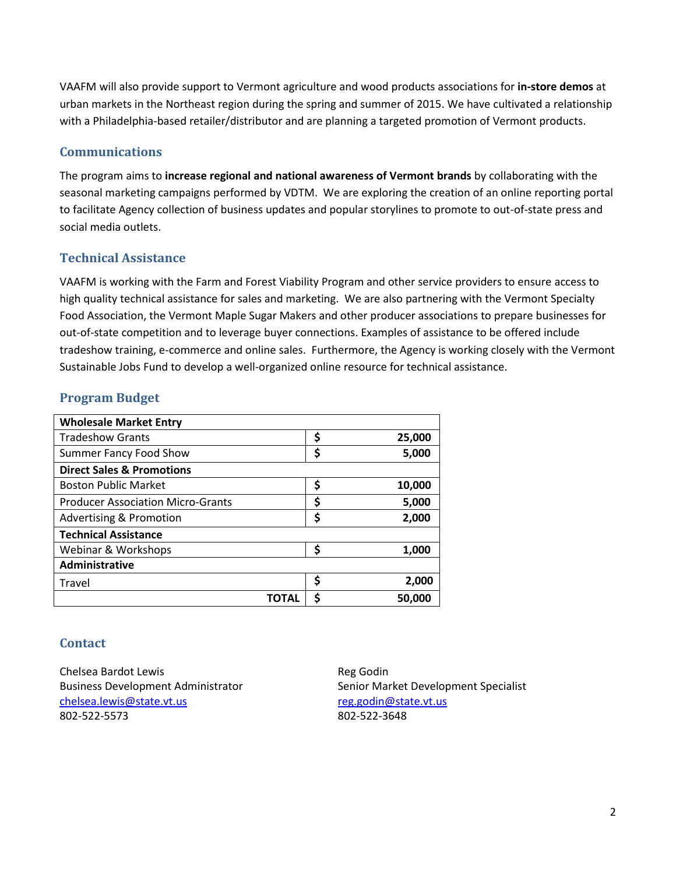VAAFM will also provide support to Vermont agriculture and wood products associations for **in-store demos** at urban markets in the Northeast region during the spring and summer of 2015. We have cultivated a relationship with a Philadelphia-based retailer/distributor and are planning a targeted promotion of Vermont products.

#### **Communications**

The program aims to **increase regional and national awareness of Vermont brands** by collaborating with the seasonal marketing campaigns performed by VDTM. We are exploring the creation of an online reporting portal to facilitate Agency collection of business updates and popular storylines to promote to out-of-state press and social media outlets.

#### **Technical Assistance**

VAAFM is working with the Farm and Forest Viability Program and other service providers to ensure access to high quality technical assistance for sales and marketing. We are also partnering with the Vermont Specialty Food Association, the Vermont Maple Sugar Makers and other producer associations to prepare businesses for out-of-state competition and to leverage buyer connections. Examples of assistance to be offered include tradeshow training, e-commerce and online sales. Furthermore, the Agency is working closely with the Vermont Sustainable Jobs Fund to develop a well-organized online resource for technical assistance.

#### **Program Budget**

| <b>Wholesale Market Entry</b>            |    |        |
|------------------------------------------|----|--------|
| <b>Tradeshow Grants</b>                  | \$ | 25,000 |
| Summer Fancy Food Show                   | \$ | 5,000  |
| <b>Direct Sales &amp; Promotions</b>     |    |        |
| <b>Boston Public Market</b>              | \$ | 10,000 |
| <b>Producer Association Micro-Grants</b> | S  | 5,000  |
| <b>Advertising &amp; Promotion</b>       | \$ | 2,000  |
| <b>Technical Assistance</b>              |    |        |
| Webinar & Workshops                      | \$ | 1,000  |
| <b>Administrative</b>                    |    |        |
| Travel                                   | \$ | 2,000  |
| ΤΟΤΑΙ                                    |    | 50,000 |

### **Contact**

Chelsea Bardot Lewis **Register Strategies Access** Reg Godin [chelsea.lewis@state.vt.us](mailto:chelsea.lewis@state.vt.us) [reg.godin@state.vt.us](mailto:reg.godin@state.vt.us) 802-522-5573 802-522-3648

Business Development Administrator Senior Market Development Specialist